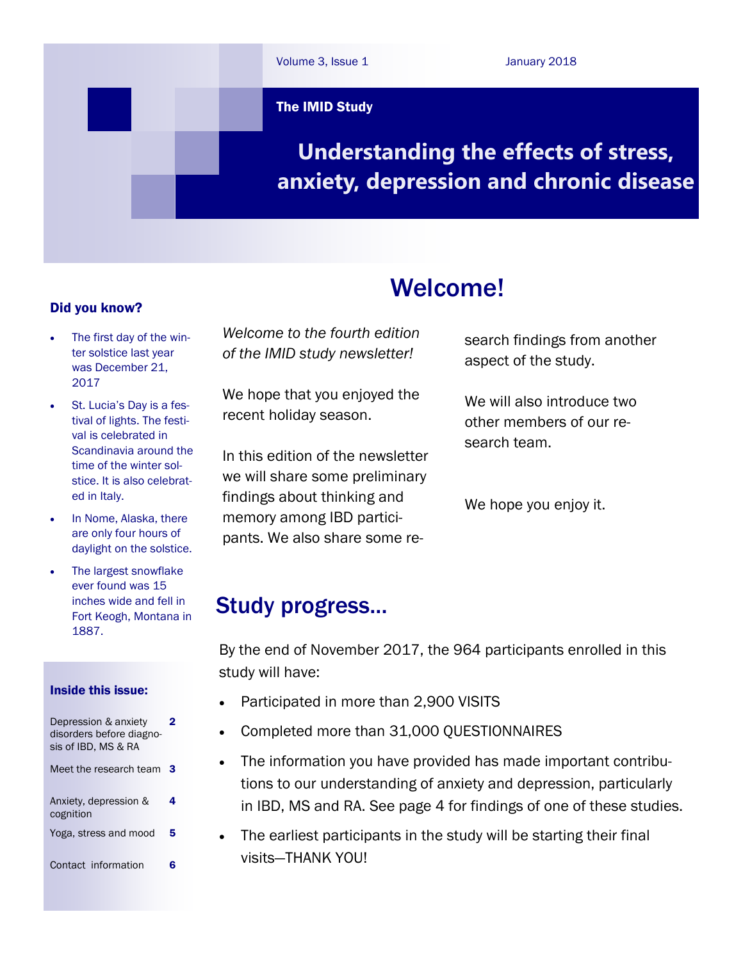

#### Did you know?

- The first day of the winter solstice last year was December 21, 2017
- St. Lucia's Day is a festival of lights. The festival is celebrated in Scandinavia around the time of the winter solstice. It is also celebrated in Italy.
- In Nome, Alaska, there are only four hours of daylight on the solstice.
- The largest snowflake ever found was 15 inches wide and fell in Fort Keogh, Montana in 1887.

#### Inside this issue:

| Depression & anxiety<br>disorders before diagno-<br>sis of IBD. MS & RA | 2 |
|-------------------------------------------------------------------------|---|
| Meet the research team                                                  | 3 |
| Anxiety, depression &<br>cognition                                      | 4 |
| Yoga, stress and mood                                                   | 5 |
| Contact information                                                     |   |

*Welcome to the fourth edition of the IMID study newsletter!*

We hope that you enjoyed the recent holiday season.

In this edition of the newsletter we will share some preliminary findings about thinking and memory among IBD participants. We also share some research findings from another aspect of the study.

We will also introduce two other members of our research team.

We hope you enjoy it.

## Study progress...

By the end of November 2017, the 964 participants enrolled in this study will have:

Welcome!

- Participated in more than 2,900 VISITS
- Completed more than 31,000 QUESTIONNAIRES
- The information you have provided has made important contributions to our understanding of anxiety and depression, particularly in IBD, MS and RA. See page 4 for findings of one of these studies.
- The earliest participants in the study will be starting their final visits—THANK YOU!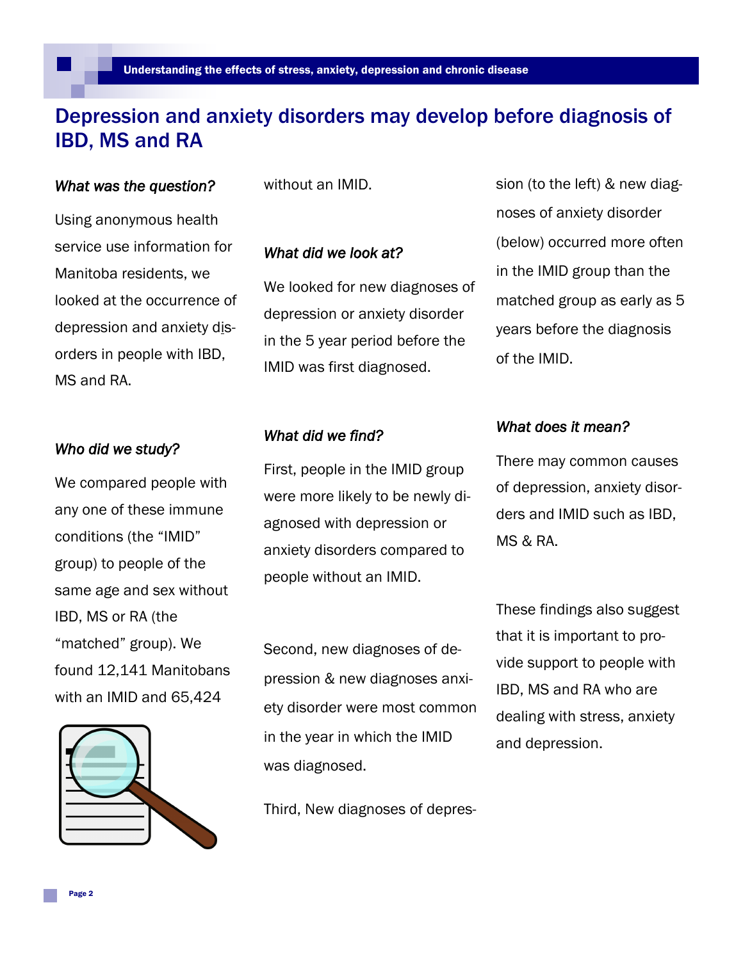## Depression and anxiety disorders may develop before diagnosis of IBD, MS and RA

#### *What was the question?*

without an IMID.

Using anonymous health service use information for Manitoba residents, we looked at the occurrence of depression and anxiety disorders in people with IBD, MS and RA.

#### *Who did we study?*

We compared people with any one of these immune conditions (the "IMID" group) to people of the same age and sex without IBD, MS or RA (the "matched" group). We found 12,141 Manitobans with an IMID and 65,424



#### *What did we look at?*

We looked for new diagnoses of depression or anxiety disorder in the 5 year period before the IMID was first diagnosed.

#### *What did we find?*

First, people in the IMID group were more likely to be newly diagnosed with depression or anxiety disorders compared to people without an IMID.

Second, new diagnoses of depression & new diagnoses anxiety disorder were most common in the year in which the IMID was diagnosed.

Third, New diagnoses of depres-

sion (to the left) & new diagnoses of anxiety disorder (below) occurred more often in the IMID group than the matched group as early as 5 years before the diagnosis of the IMID.

#### *What does it mean?*

There may common causes of depression, anxiety disorders and IMID such as IBD, MS & RA.

These findings also suggest that it is important to provide support to people with IBD, MS and RA who are dealing with stress, anxiety and depression.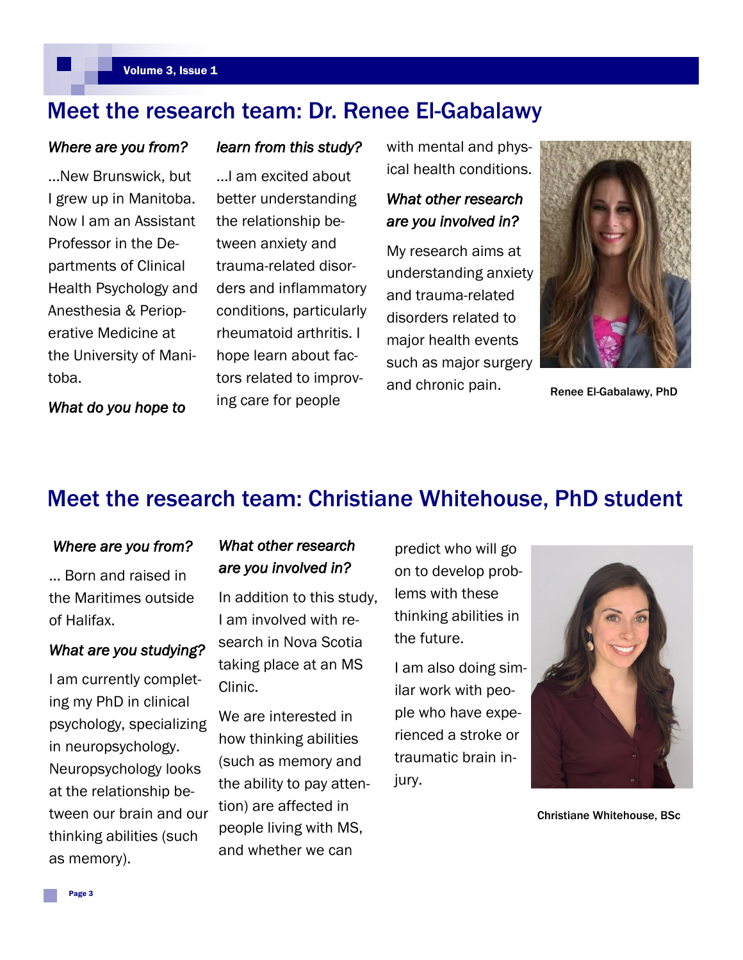## Meet the research team: Dr. Renee El-Gabalawy

#### *Where are you from?*

...New Brunswick, but I grew up in Manitoba. Now I am an Assistant Professor in the Departments of Clinical Health Psychology and Anesthesia & Perioperative Medicine at the University of Manitoba.

#### *learn from this study?*

...I am excited about better understanding the relationship between anxiety and trauma-related disorders and inflammatory conditions, particularly rheumatoid arthritis. I hope learn about factors related to improving care for people

with mental and physical health conditions.

### *What other research are you involved in?*

My research aims at understanding anxiety and trauma-related disorders related to major health events such as major surgery and chronic pain.



Renee El-Gabalawy, PhD

*What do you hope to* 

## Meet the research team: Christiane Whitehouse, PhD student

#### *Where are you from?*

... Born and raised in the Maritimes outside of Halifax.

#### *What are you studying?*

I am currently completing my PhD in clinical psychology, specializing in neuropsychology. Neuropsychology looks at the relationship between our brain and our thinking abilities (such as memory).

### *What other research are you involved in?*

In addition to this study, I am involved with research in Nova Scotia taking place at an MS Clinic.

We are interested in how thinking abilities (such as memory and the ability to pay attention) are affected in people living with MS, and whether we can

predict who will go on to develop problems with these thinking abilities in the future.

I am also doing similar work with people who have experienced a stroke or traumatic brain injury.



Christiane Whitehouse, BSc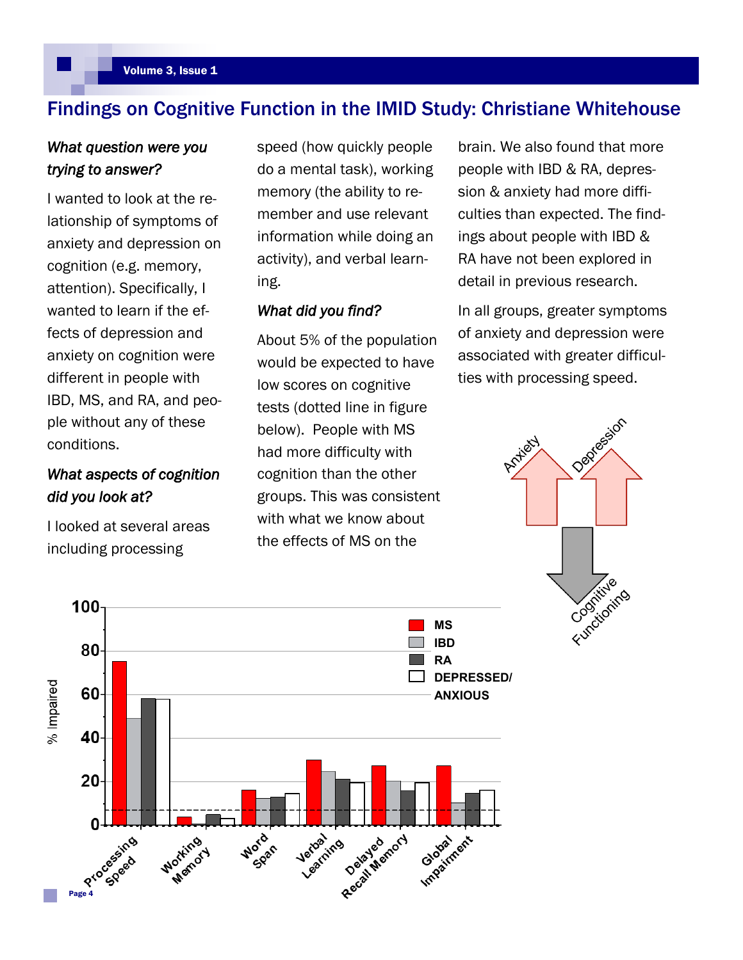## Findings on Cognitive Function in the IMID Study: Christiane Whitehouse

### *What question were you trying to answer?*

I wanted to look at the relationship of symptoms of anxiety and depression on cognition (e.g. memory, attention). Specifically, I wanted to learn if the effects of depression and anxiety on cognition were different in people with IBD, MS, and RA, and people without any of these conditions.

## *What aspects of cognition did you look at?*

I looked at several areas including processing

speed (how quickly people do a mental task), working memory (the ability to remember and use relevant information while doing an activity), and verbal learning.

#### *What did you find?*

About 5% of the population would be expected to have low scores on cognitive tests (dotted line in figure below). People with MS had more difficulty with cognition than the other groups. This was consistent with what we know about the effects of MS on the

brain. We also found that more people with IBD & RA, depression & anxiety had more difficulties than expected. The findings about people with IBD & RA have not been explored in detail in previous research.

In all groups, greater symptoms of anxiety and depression were associated with greater difficulties with processing speed.



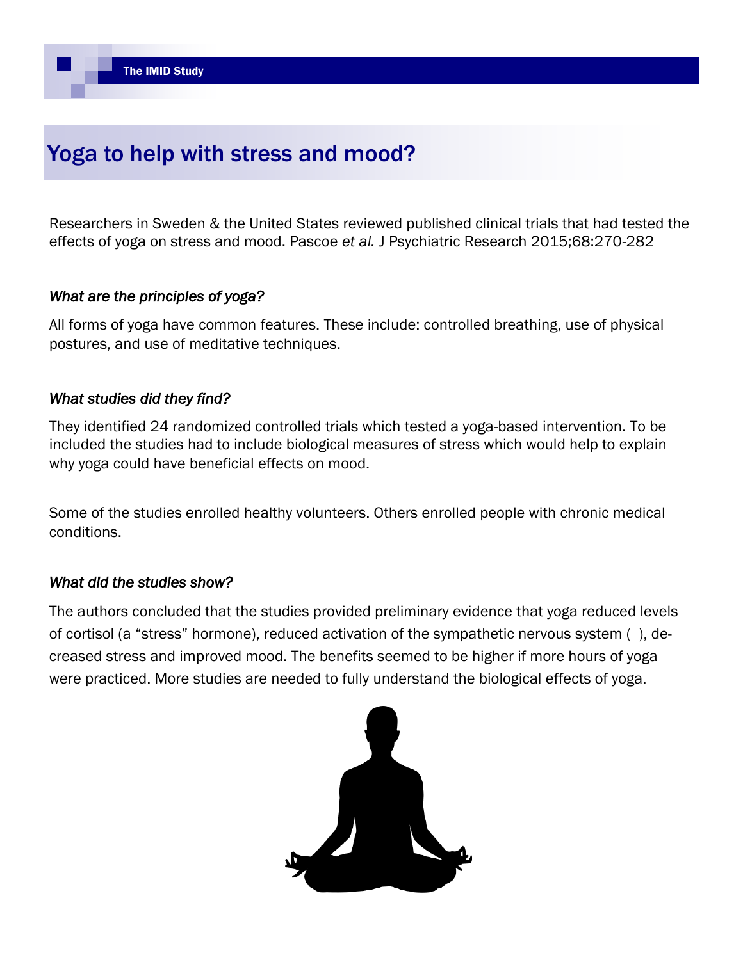# Yoga to help with stress and mood?

Researchers in Sweden & the United States reviewed published clinical trials that had tested the effects of yoga on stress and mood. Pascoe *et al.* J Psychiatric Research 2015;68:270-282

## *What are the principles of yoga?*

All forms of yoga have common features. These include: controlled breathing, use of physical postures, and use of meditative techniques.

### *What studies did they find?*

They identified 24 randomized controlled trials which tested a yoga-based intervention. To be included the studies had to include biological measures of stress which would help to explain why yoga could have beneficial effects on mood.

Some of the studies enrolled healthy volunteers. Others enrolled people with chronic medical conditions.

#### *What did the studies show?*

The authors concluded that the studies provided preliminary evidence that yoga reduced levels of cortisol (a "stress" hormone), reduced activation of the sympathetic nervous system ( ), decreased stress and improved mood. The benefits seemed to be higher if more hours of yoga were practiced. More studies are needed to fully understand the biological effects of yoga.